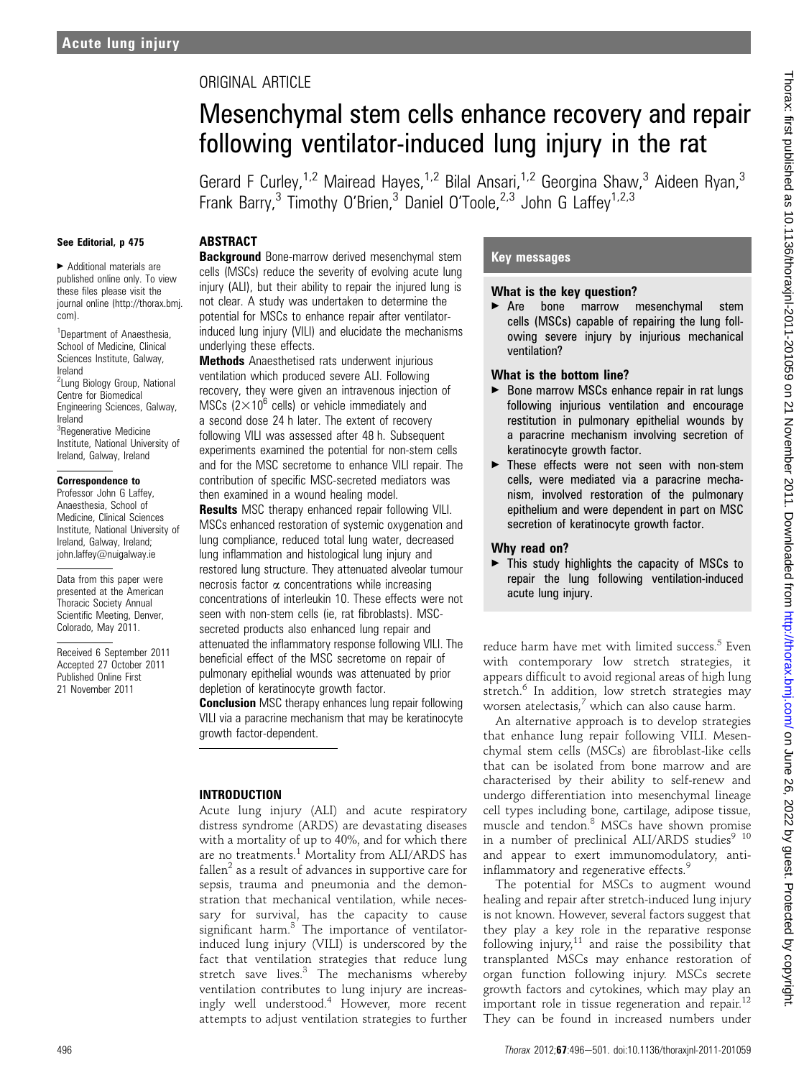## ORIGINAL ARTICLE

# Mesenchymal stem cells enhance recovery and repair following ventilator-induced lung injury in the rat

Gerard F Curley,<sup>1,2</sup> Mairead Hayes,<sup>1,2</sup> Bilal Ansari,<sup>1,2</sup> Georgina Shaw,<sup>3</sup> Aideen Ryan,<sup>3</sup> Frank Barry,<sup>3</sup> Timothy O'Brien,<sup>3'</sup> Daniel O'Toole,<sup>2,3'</sup> John G Laffey<sup>1,2,3</sup>

#### See Editorial, p 475

< Additional materials are published online only. To view these files please visit the journal online (http://thorax.bmj. com).

<sup>1</sup>Department of Anaesthesia, School of Medicine, Clinical Sciences Institute, Galway, Ireland

<sup>2</sup> Lung Biology Group, National Centre for Biomedical Engineering Sciences, Galway, Ireland <sup>3</sup>Regenerative Medicine

Institute, National University of Ireland, Galway, Ireland

#### Correspondence to

Professor John G Laffey, Anaesthesia, School of Medicine, Clinical Sciences Institute, National University of Ireland, Galway, Ireland; john.laffey@nuigalway.ie

Data from this paper were presented at the American Thoracic Society Annual Scientific Meeting, Denver, Colorado, May 2011.

Received 6 September 2011 Accepted 27 October 2011 Published Online First 21 November 2011

## **ABSTRACT**

**Background** Bone-marrow derived mesenchymal stem cells (MSCs) reduce the severity of evolving acute lung injury (ALI), but their ability to repair the injured lung is not clear. A study was undertaken to determine the potential for MSCs to enhance repair after ventilatorinduced lung injury (VILI) and elucidate the mechanisms underlying these effects.

Methods Anaesthetised rats underwent injurious ventilation which produced severe ALI. Following recovery, they were given an intravenous injection of MSCs  $(2\times10^6$  cells) or vehicle immediately and a second dose 24 h later. The extent of recovery following VILI was assessed after 48 h. Subsequent experiments examined the potential for non-stem cells and for the MSC secretome to enhance VILI repair. The contribution of specific MSC-secreted mediators was then examined in a wound healing model.

**Results** MSC therapy enhanced repair following VILI. MSCs enhanced restoration of systemic oxygenation and lung compliance, reduced total lung water, decreased lung inflammation and histological lung injury and restored lung structure. They attenuated alveolar tumour necrosis factor  $\alpha$  concentrations while increasing concentrations of interleukin 10. These effects were not seen with non-stem cells (ie, rat fibroblasts). MSCsecreted products also enhanced lung repair and attenuated the inflammatory response following VILI. The beneficial effect of the MSC secretome on repair of pulmonary epithelial wounds was attenuated by prior depletion of keratinocyte growth factor.

**Conclusion** MSC therapy enhances lung repair following VILI via a paracrine mechanism that may be keratinocyte growth factor-dependent.

## INTRODUCTION

Acute lung injury (ALI) and acute respiratory distress syndrome (ARDS) are devastating diseases with a mortality of up to 40%, and for which there are no treatments.<sup>1</sup> Mortality from ALI/ARDS has fallen<sup>2</sup> as a result of advances in supportive care for sepsis, trauma and pneumonia and the demonstration that mechanical ventilation, while necessary for survival, has the capacity to cause significant harm. $3$  The importance of ventilatorinduced lung injury (VILI) is underscored by the fact that ventilation strategies that reduce lung stretch save lives.<sup>3</sup> The mechanisms whereby ventilation contributes to lung injury are increasingly well understood.<sup>4</sup> However, more recent attempts to adjust ventilation strategies to further

## Key messages

#### What is the key question?

▶ Are bone marrow mesenchymal stem cells (MSCs) capable of repairing the lung following severe injury by injurious mechanical ventilation?

## What is the bottom line?

- ▶ Bone marrow MSCs enhance repair in rat lungs following injurious ventilation and encourage restitution in pulmonary epithelial wounds by a paracrine mechanism involving secretion of keratinocyte growth factor.
- $\blacktriangleright$  These effects were not seen with non-stem cells, were mediated via a paracrine mechanism, involved restoration of the pulmonary epithelium and were dependent in part on MSC secretion of keratinocyte growth factor.

## Why read on?

 $\blacktriangleright$  This study highlights the capacity of MSCs to repair the lung following ventilation-induced acute lung injury.

reduce harm have met with limited success.<sup>5</sup> Even with contemporary low stretch strategies, it appears difficult to avoid regional areas of high lung stretch.<sup>6</sup> In addition, low stretch strategies may worsen atelectasis, $^7$  which can also cause harm.

An alternative approach is to develop strategies that enhance lung repair following VILI. Mesenchymal stem cells (MSCs) are fibroblast-like cells that can be isolated from bone marrow and are characterised by their ability to self-renew and undergo differentiation into mesenchymal lineage cell types including bone, cartilage, adipose tissue, muscle and tendon.<sup>8</sup> MSCs have shown promise in a number of preclinical ALI/ARDS studies<sup>9</sup> <sup>10</sup> and appear to exert immunomodulatory, antiinflammatory and regenerative effects.<sup>9</sup>

The potential for MSCs to augment wound healing and repair after stretch-induced lung injury is not known. However, several factors suggest that they play a key role in the reparative response following injury, $11$  and raise the possibility that transplanted MSCs may enhance restoration of organ function following injury. MSCs secrete growth factors and cytokines, which may play an important role in tissue regeneration and repair. $^{12}$ They can be found in increased numbers under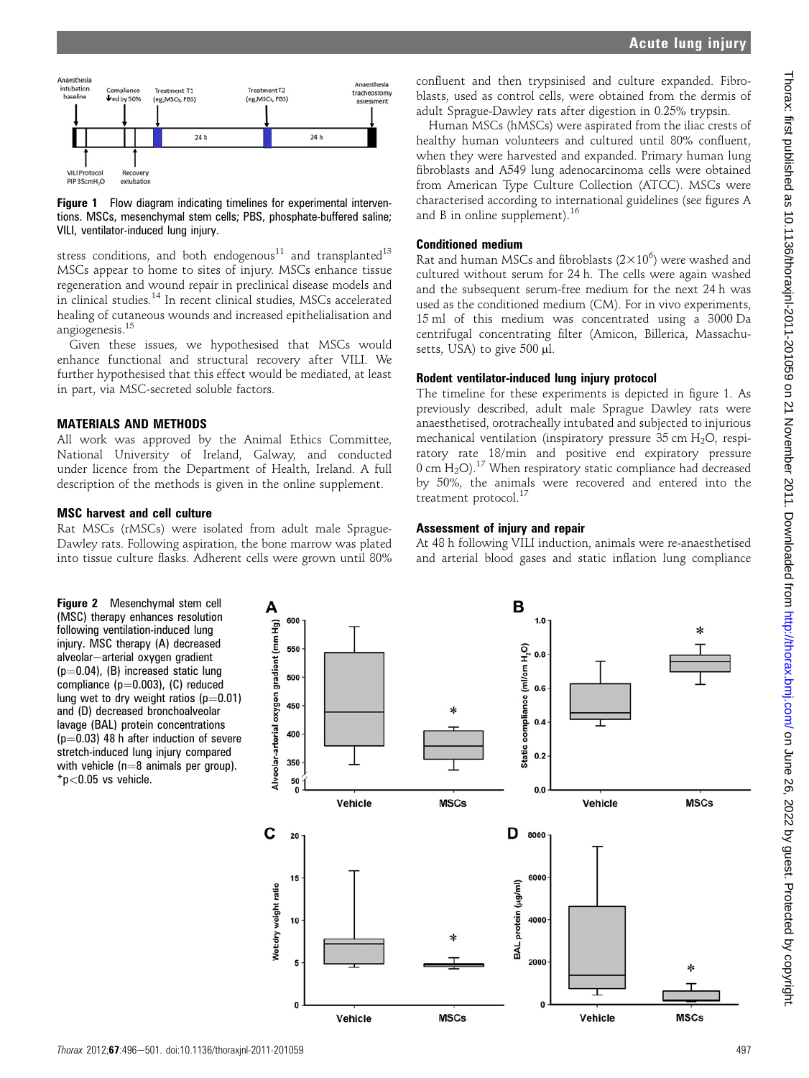

#### **Figure 1** Flow diagram indicating timelines for experimental interventions. MSCs, mesenchymal stem cells; PBS, phosphate-buffered saline; VILI, ventilator-induced lung injury.

stress conditions, and both endogenous<sup>11</sup> and transplanted<sup>13</sup> MSCs appear to home to sites of injury. MSCs enhance tissue regeneration and wound repair in preclinical disease models and in clinical studies.<sup>14</sup> In recent clinical studies, MSCs accelerated healing of cutaneous wounds and increased epithelialisation and angiogenesis.<sup>15</sup>

Given these issues, we hypothesised that MSCs would enhance functional and structural recovery after VILI. We further hypothesised that this effect would be mediated, at least in part, via MSC-secreted soluble factors.

#### MATERIALS AND METHODS

All work was approved by the Animal Ethics Committee, National University of Ireland, Galway, and conducted under licence from the Department of Health, Ireland. A full description of the methods is given in the online supplement.

#### MSC harvest and cell culture

Rat MSCs (rMSCs) were isolated from adult male Sprague-Dawley rats. Following aspiration, the bone marrow was plated into tissue culture flasks. Adherent cells were grown until 80% confluent and then trypsinised and culture expanded. Fibroblasts, used as control cells, were obtained from the dermis of adult Sprague-Dawley rats after digestion in 0.25% trypsin.

Human MSCs (hMSCs) were aspirated from the iliac crests of healthy human volunteers and cultured until 80% confluent, when they were harvested and expanded. Primary human lung fibroblasts and A549 lung adenocarcinoma cells were obtained from American Type Culture Collection (ATCC). MSCs were characterised according to international guidelines (see figures A and B in online supplement).<sup>16</sup>

## Conditioned medium

Rat and human MSCs and fibroblasts  $(2\times10^6)$  were washed and cultured without serum for 24 h. The cells were again washed and the subsequent serum-free medium for the next 24 h was used as the conditioned medium (CM). For in vivo experiments, 15 ml of this medium was concentrated using a 3000 Da centrifugal concentrating filter (Amicon, Billerica, Massachusetts, USA) to give  $500 \mu l$ .

### Rodent ventilator-induced lung injury protocol

The timeline for these experiments is depicted in figure 1. As previously described, adult male Sprague Dawley rats were anaesthetised, orotracheally intubated and subjected to injurious mechanical ventilation (inspiratory pressure  $35 \text{ cm H}_2\text{O}$ , respiratory rate 18/min and positive end expiratory pressure  $0 \text{ cm}$  H<sub>2</sub>O).<sup>17</sup> When respiratory static compliance had decreased by 50%, the animals were recovered and entered into the treatment protocol.<sup>17</sup>

#### Assessment of injury and repair

At 48 h following VILI induction, animals were re-anaesthetised and arterial blood gases and static inflation lung compliance

Figure 2 Mesenchymal stem cell (MSC) therapy enhances resolution following ventilation-induced lung injury. MSC therapy (A) decreased alveolar-arterial oxygen gradient  $(p=0.04)$ , (B) increased static lung compliance ( $p=0.003$ ), (C) reduced lung wet to dry weight ratios ( $p=0.01$ ) and (D) decreased bronchoalveolar lavage (BAL) protein concentrations  $(p=0.03)$  48 h after induction of severe stretch-induced lung injury compared with vehicle ( $n=8$  animals per group).  $*p<0.05$  vs vehicle.

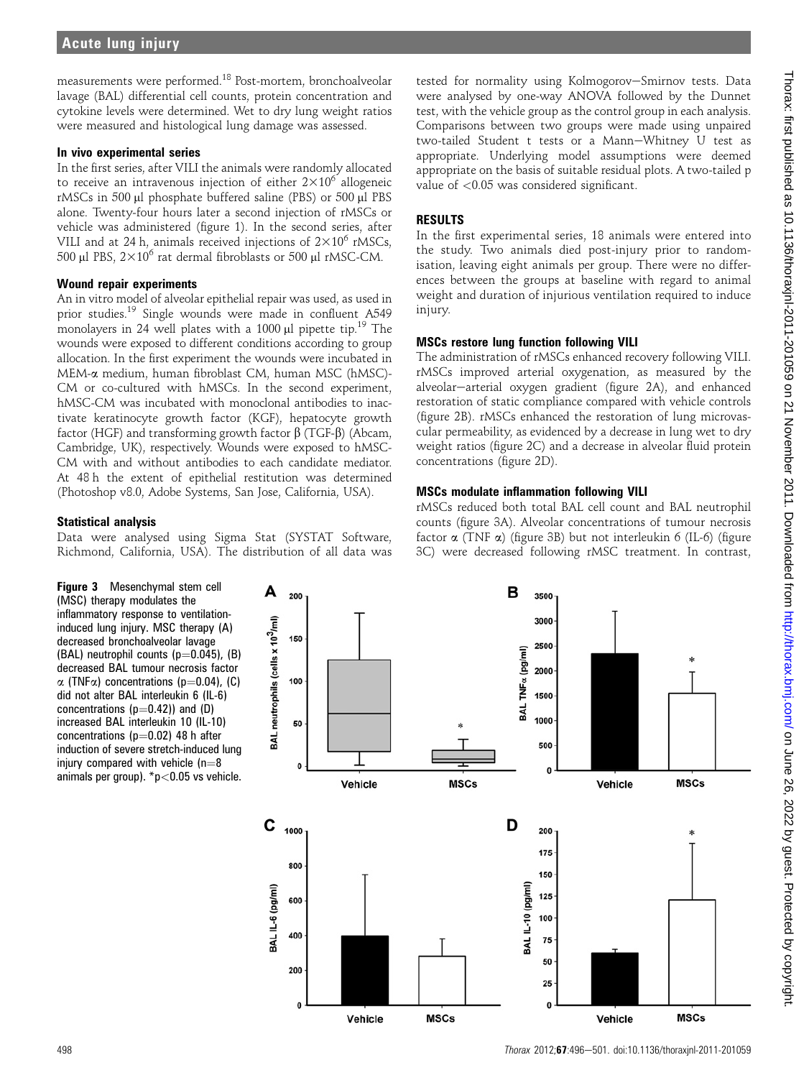measurements were performed.<sup>18</sup> Post-mortem, bronchoalveolar lavage (BAL) differential cell counts, protein concentration and cytokine levels were determined. Wet to dry lung weight ratios were measured and histological lung damage was assessed.

## In vivo experimental series

In the first series, after VILI the animals were randomly allocated to receive an intravenous injection of either  $2\times10^6$  allogeneic rMSCs in 500 µl phosphate buffered saline (PBS) or 500 µl PBS alone. Twenty-four hours later a second injection of rMSCs or vehicle was administered (figure 1). In the second series, after VILI and at 24 h, animals received injections of  $2\times10^6$  rMSCs, 500  $\mu$ l PBS, 2×10<sup>6</sup> rat dermal fibroblasts or 500  $\mu$ l rMSC-CM.

## Wound repair experiments

An in vitro model of alveolar epithelial repair was used, as used in prior studies.19 Single wounds were made in confluent A549 monolayers in 24 well plates with a 1000  $\mu$ l pipette tip.<sup>19</sup> The wounds were exposed to different conditions according to group allocation. In the first experiment the wounds were incubated in MEM-a medium, human fibroblast CM, human MSC (hMSC)- CM or co-cultured with hMSCs. In the second experiment, hMSC-CM was incubated with monoclonal antibodies to inactivate keratinocyte growth factor (KGF), hepatocyte growth factor (HGF) and transforming growth factor  $\beta$  (TGF- $\beta$ ) (Abcam, Cambridge, UK), respectively. Wounds were exposed to hMSC-CM with and without antibodies to each candidate mediator. At 48 h the extent of epithelial restitution was determined (Photoshop v8.0, Adobe Systems, San Jose, California, USA).

## Statistical analysis

Data were analysed using Sigma Stat (SYSTAT Software, Richmond, California, USA). The distribution of all data was

tested for normality using Kolmogorov-Smirnov tests. Data were analysed by one-way ANOVA followed by the Dunnet test, with the vehicle group as the control group in each analysis. Comparisons between two groups were made using unpaired two-tailed Student t tests or a Mann-Whitney U test as appropriate. Underlying model assumptions were deemed appropriate on the basis of suitable residual plots. A two-tailed p value of <0.05 was considered significant.

## RESULTS

In the first experimental series, 18 animals were entered into the study. Two animals died post-injury prior to randomisation, leaving eight animals per group. There were no differences between the groups at baseline with regard to animal weight and duration of injurious ventilation required to induce injury.

## MSCs restore lung function following VILI

The administration of rMSCs enhanced recovery following VILI. rMSCs improved arterial oxygenation, as measured by the alveolar-arterial oxygen gradient (figure 2A), and enhanced restoration of static compliance compared with vehicle controls (figure 2B). rMSCs enhanced the restoration of lung microvascular permeability, as evidenced by a decrease in lung wet to dry weight ratios (figure 2C) and a decrease in alveolar fluid protein concentrations (figure 2D).

## MSCs modulate inflammation following VILI

rMSCs reduced both total BAL cell count and BAL neutrophil counts (figure 3A). Alveolar concentrations of tumour necrosis factor  $\alpha$  (TNF  $\alpha$ ) (figure 3B) but not interleukin 6 (IL-6) (figure 3C) were decreased following rMSC treatment. In contrast,

Figure 3 Mesenchymal stem cell (MSC) therapy modulates the inflammatory response to ventilationinduced lung injury. MSC therapy (A) decreased bronchoalveolar lavage (BAL) neutrophil counts  $(p=0.045)$ , (B) decreased BAL tumour necrosis factor  $\alpha$  (TNF $\alpha$ ) concentrations (p=0.04), (C) did not alter BAL interleukin 6 (IL-6) concentrations  $(p=0.42)$ ) and  $(D)$ increased BAL interleukin 10 (IL-10) concentrations ( $p=0.02$ ) 48 h after induction of severe stretch-induced lung injury compared with vehicle  $(n=8)$ animals per group).  $*p<0.05$  vs vehicle.

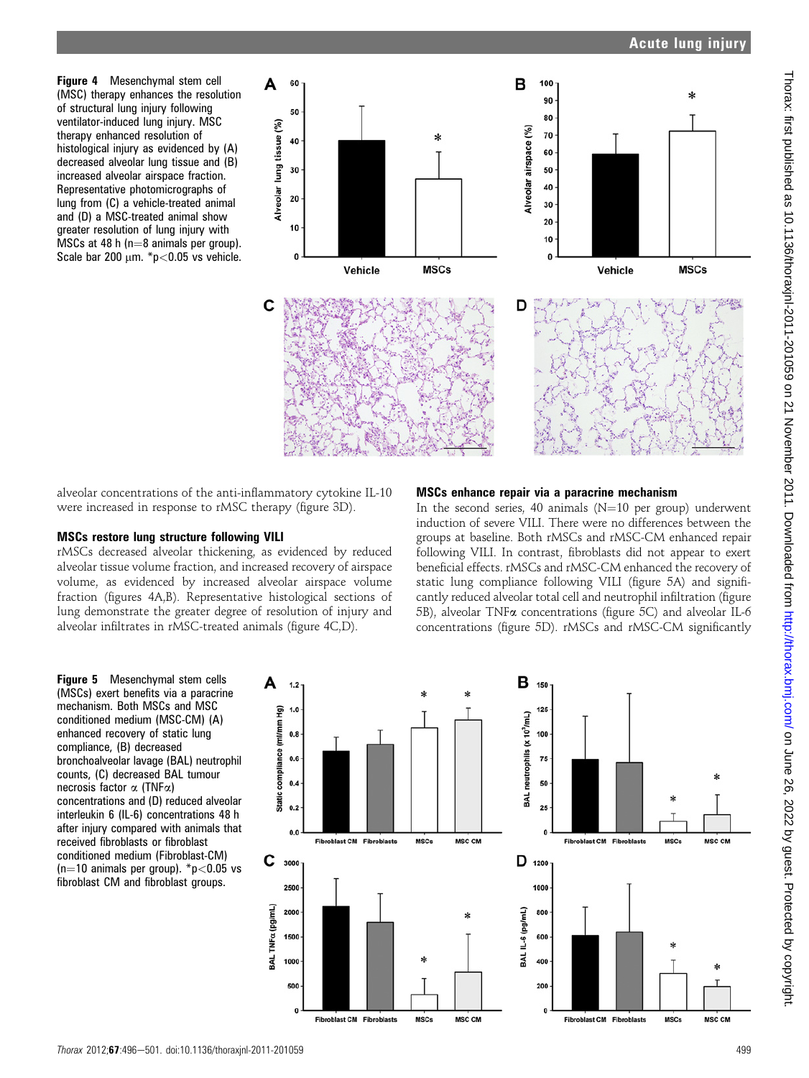Figure 4 Mesenchymal stem cell (MSC) therapy enhances the resolution of structural lung injury following ventilator-induced lung injury. MSC therapy enhanced resolution of histological injury as evidenced by (A) decreased alveolar lung tissue and (B) increased alveolar airspace fraction. Representative photomicrographs of lung from (C) a vehicle-treated animal and (D) a MSC-treated animal show greater resolution of lung injury with MSCs at 48 h ( $n=8$  animals per group). Scale bar 200  $\mu$ m. \*p<0.05 vs vehicle.



alveolar concentrations of the anti-inflammatory cytokine IL-10 were increased in response to rMSC therapy (figure 3D).

## MSCs restore lung structure following VILI

rMSCs decreased alveolar thickening, as evidenced by reduced alveolar tissue volume fraction, and increased recovery of airspace volume, as evidenced by increased alveolar airspace volume fraction (figures 4A,B). Representative histological sections of lung demonstrate the greater degree of resolution of injury and alveolar infiltrates in rMSC-treated animals (figure 4C,D).

## MSCs enhance repair via a paracrine mechanism

In the second series, 40 animals ( $N=10$  per group) underwent induction of severe VILI. There were no differences between the groups at baseline. Both rMSCs and rMSC-CM enhanced repair following VILI. In contrast, fibroblasts did not appear to exert beneficial effects. rMSCs and rMSC-CM enhanced the recovery of static lung compliance following VILI (figure 5A) and significantly reduced alveolar total cell and neutrophil infiltration (figure 5B), alveolar TNFa concentrations (figure 5C) and alveolar IL-6 concentrations (figure 5D). rMSCs and rMSC-CM significantly

Figure 5 Mesenchymal stem cells (MSCs) exert benefits via a paracrine mechanism. Both MSCs and MSC conditioned medium (MSC-CM) (A) enhanced recovery of static lung compliance, (B) decreased bronchoalveolar lavage (BAL) neutrophil counts, (C) decreased BAL tumour necrosis factor  $\alpha$  (TNF $\alpha$ ) concentrations and (D) reduced alveolar interleukin 6 (IL-6) concentrations 48 h after injury compared with animals that received fibroblasts or fibroblast conditioned medium (Fibroblast-CM) (n=10 animals per group).  $\text{*p}$  < 0.05 vs fibroblast CM and fibroblast groups.

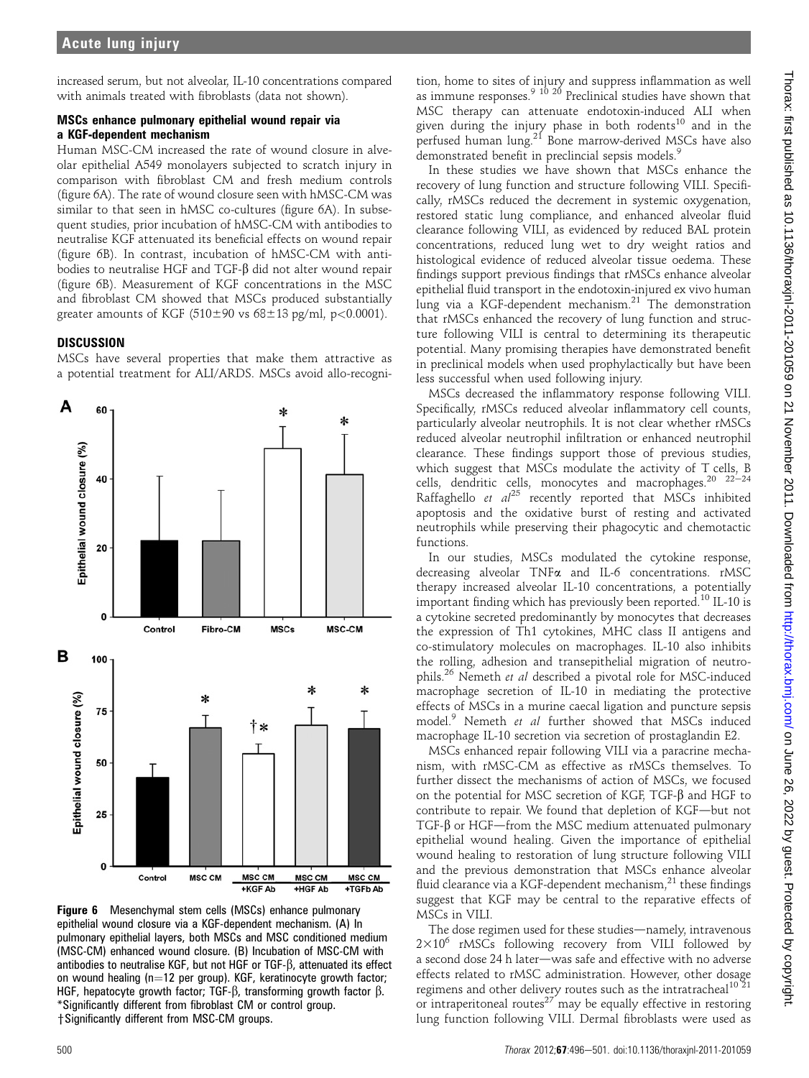increased serum, but not alveolar, IL-10 concentrations compared with animals treated with fibroblasts (data not shown).

## MSCs enhance pulmonary epithelial wound repair via a KGF-dependent mechanism

Human MSC-CM increased the rate of wound closure in alveolar epithelial A549 monolayers subjected to scratch injury in comparison with fibroblast CM and fresh medium controls (figure 6A). The rate of wound closure seen with hMSC-CM was similar to that seen in hMSC co-cultures (figure 6A). In subsequent studies, prior incubation of hMSC-CM with antibodies to neutralise KGF attenuated its beneficial effects on wound repair (figure 6B). In contrast, incubation of hMSC-CM with antibodies to neutralise HGF and TGF-b did not alter wound repair (figure 6B). Measurement of KGF concentrations in the MSC and fibroblast CM showed that MSCs produced substantially greater amounts of KGF ( $510\pm90$  vs  $68\pm13$  pg/ml, p<0.0001).

## **DISCUSSION**

MSCs have several properties that make them attractive as a potential treatment for ALI/ARDS. MSCs avoid allo-recogni-



Figure 6 Mesenchymal stem cells (MSCs) enhance pulmonary epithelial wound closure via a KGF-dependent mechanism. (A) In pulmonary epithelial layers, both MSCs and MSC conditioned medium (MSC-CM) enhanced wound closure. (B) Incubation of MSC-CM with antibodies to neutralise KGF, but not HGF or  $TGF-\beta$ , attenuated its effect on wound healing (n=12 per group). KGF, keratinocyte growth factor; HGF, hepatocyte growth factor; TGF- $\beta$ , transforming growth factor  $\beta$ . \*Significantly different from fibroblast CM or control group. + Significantly different from MSC-CM groups.

tion, home to sites of injury and suppress inflammation as well as immune responses.<sup>9 10 20</sup> Preclinical studies have shown that MSC therapy can attenuate endotoxin-induced ALI when given during the injury phase in both rodents<sup>10</sup> and in the perfused human lung.<sup>21</sup> Bone marrow-derived MSCs have also demonstrated benefit in preclincial sepsis models.<sup>9</sup>

In these studies we have shown that MSCs enhance the recovery of lung function and structure following VILI. Specifically, rMSCs reduced the decrement in systemic oxygenation, restored static lung compliance, and enhanced alveolar fluid clearance following VILI, as evidenced by reduced BAL protein concentrations, reduced lung wet to dry weight ratios and histological evidence of reduced alveolar tissue oedema. These findings support previous findings that rMSCs enhance alveolar epithelial fluid transport in the endotoxin-injured ex vivo human lung via a KGF-dependent mechanism. $21$  The demonstration that rMSCs enhanced the recovery of lung function and structure following VILI is central to determining its therapeutic potential. Many promising therapies have demonstrated benefit in preclinical models when used prophylactically but have been less successful when used following injury.

MSCs decreased the inflammatory response following VILI. Specifically, rMSCs reduced alveolar inflammatory cell counts, particularly alveolar neutrophils. It is not clear whether rMSCs reduced alveolar neutrophil infiltration or enhanced neutrophil clearance. These findings support those of previous studies, which suggest that MSCs modulate the activity of T cells, B cells, dendritic cells, monocytes and macrophages.<sup>20</sup>  $22-24$ Raffaghello et  $al^{25}$  recently reported that MSCs inhibited apoptosis and the oxidative burst of resting and activated neutrophils while preserving their phagocytic and chemotactic functions.

In our studies, MSCs modulated the cytokine response, decreasing alveolar TNFa and IL-6 concentrations. rMSC therapy increased alveolar IL-10 concentrations, a potentially important finding which has previously been reported.<sup>10</sup> IL-10 is a cytokine secreted predominantly by monocytes that decreases the expression of Th1 cytokines, MHC class II antigens and co-stimulatory molecules on macrophages. IL-10 also inhibits the rolling, adhesion and transepithelial migration of neutrophils.<sup>26</sup> Nemeth et al described a pivotal role for MSC-induced macrophage secretion of IL-10 in mediating the protective effects of MSCs in a murine caecal ligation and puncture sepsis model.<sup>9</sup> Nemeth et al further showed that MSCs induced macrophage IL-10 secretion via secretion of prostaglandin E2.

MSCs enhanced repair following VILI via a paracrine mechanism, with rMSC-CM as effective as rMSCs themselves. To further dissect the mechanisms of action of MSCs, we focused on the potential for MSC secretion of KGF,  $TGF-\beta$  and HGF to contribute to repair. We found that depletion of KGF-but not TGF- $\beta$  or HGF-from the MSC medium attenuated pulmonary epithelial wound healing. Given the importance of epithelial wound healing to restoration of lung structure following VILI and the previous demonstration that MSCs enhance alveolar fluid clearance via a KGF-dependent mechanism, $^{21}$  these findings suggest that KGF may be central to the reparative effects of MSCs in VILI.

The dose regimen used for these studies—namely, intravenous  $2\times10^6$  rMSCs following recovery from VILI followed by a second dose 24 h later-was safe and effective with no adverse effects related to rMSC administration. However, other dosage regimens and other delivery routes such as the intratracheal $10^{21}$ or intraperitoneal routes $27$  may be equally effective in restoring lung function following VILI. Dermal fibroblasts were used as